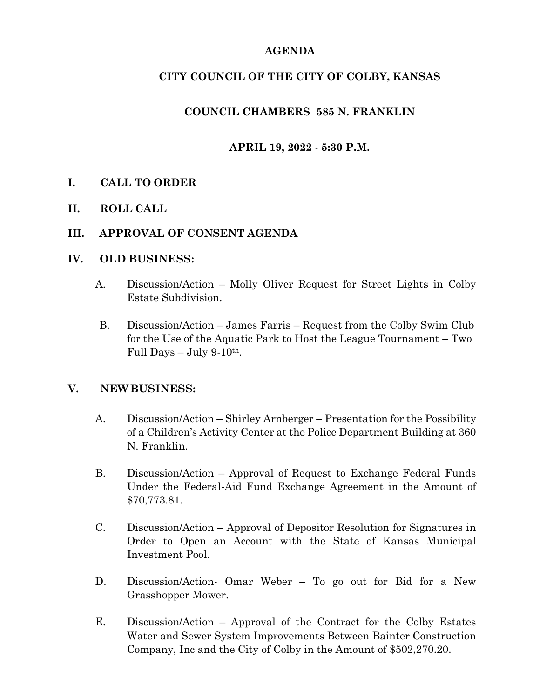# **AGENDA**

# **CITY COUNCIL OF THE CITY OF COLBY, KANSAS**

# **COUNCIL CHAMBERS 585 N. FRANKLIN**

# **APRIL 19, 2022** - **5:30 P.M.**

## **I. CALL TO ORDER**

**II. ROLL CALL**

## **III. APPROVAL OF CONSENT AGENDA**

#### **IV. OLD BUSINESS:**

- A. Discussion/Action Molly Oliver Request for Street Lights in Colby Estate Subdivision.
- B. Discussion/Action James Farris Request from the Colby Swim Club for the Use of the Aquatic Park to Host the League Tournament – Two Full Days  $-$  July 9-10<sup>th</sup>.

## **V. NEWBUSINESS:**

- A. Discussion/Action Shirley Arnberger Presentation for the Possibility of a Children's Activity Center at the Police Department Building at 360 N. Franklin.
- B. Discussion/Action Approval of Request to Exchange Federal Funds Under the Federal-Aid Fund Exchange Agreement in the Amount of \$70,773.81.
- C. Discussion/Action Approval of Depositor Resolution for Signatures in Order to Open an Account with the State of Kansas Municipal Investment Pool.
- D. Discussion/Action- Omar Weber To go out for Bid for a New Grasshopper Mower.
- E. Discussion/Action Approval of the Contract for the Colby Estates Water and Sewer System Improvements Between Bainter Construction Company, Inc and the City of Colby in the Amount of \$502,270.20.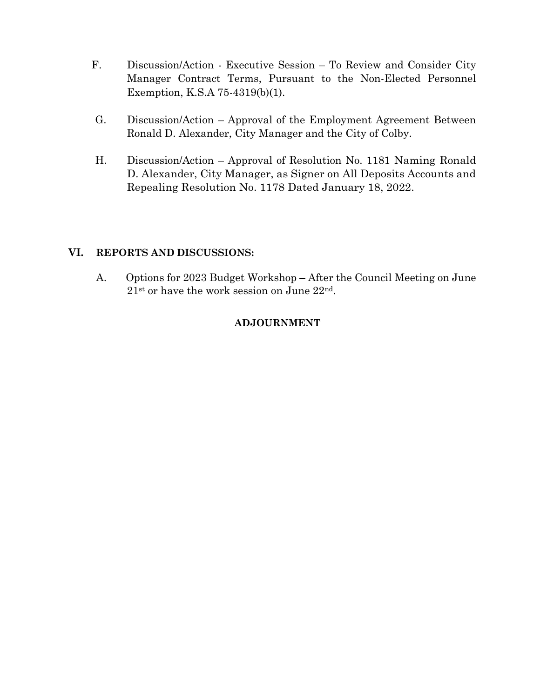- F. Discussion/Action Executive Session To Review and Consider City Manager Contract Terms, Pursuant to the Non-Elected Personnel Exemption, K.S.A 75-4319(b)(1).
- G. Discussion/Action Approval of the Employment Agreement Between Ronald D. Alexander, City Manager and the City of Colby.
- H. Discussion/Action Approval of Resolution No. 1181 Naming Ronald D. Alexander, City Manager, as Signer on All Deposits Accounts and Repealing Resolution No. 1178 Dated January 18, 2022.

## **VI. REPORTS AND DISCUSSIONS:**

A. Options for 2023 Budget Workshop – After the Council Meeting on June 21st or have the work session on June 22nd.

## **ADJOURNMENT**